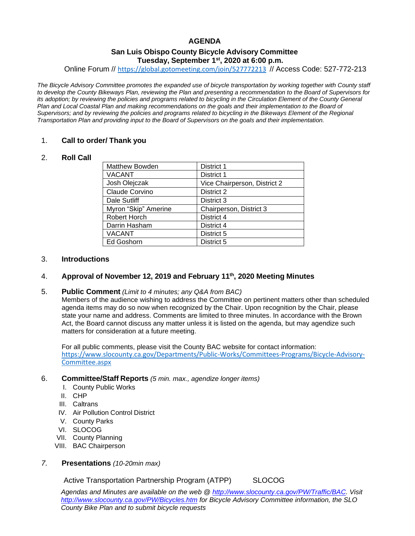# **AGENDA**

# **San Luis Obispo County Bicycle Advisory Committee Tuesday, September 1st , 2020 at 6:00 p.m.**

Online Forum // [https://global.gotomeeting.com/join/527772213](https://gcc02.safelinks.protection.outlook.com/?url=https%3A%2F%2Fglobal.gotomeeting.com%2Fjoin%2F527772213&data=02%7C01%7CJDevera%40co.slo.ca.us%7C6304415ccd2e45a5ae3908d810afca1d%7C84c3c7747fdf40e2a59027b2e70f8126%7C0%7C0%7C637277694500648828&sdata=ybg%2Bln1ye8b11kmIiEkUiQUyw1Zqaa9ajIMAnfD96AA%3D&reserved=0) // Access Code: 527-772-213

*The Bicycle Advisory Committee promotes the expanded use of bicycle transportation by working together with County staff to develop the County Bikeways Plan, reviewing the Plan and presenting a recommendation to the Board of Supervisors for its adoption; by reviewing the policies and programs related to bicycling in the Circulation Element of the County General Plan and Local Coastal Plan and making recommendations on the goals and their implementation to the Board of Supervisors; and by reviewing the policies and programs related to bicycling in the Bikeways Element of the Regional Transportation Plan and providing input to the Board of Supervisors on the goals and their implementation.*

## 1. **Call to order/ Thank you**

## 2. **Roll Call**

| Matthew Bowden       | District 1                   |
|----------------------|------------------------------|
| <b>VACANT</b>        | District 1                   |
| Josh Olejczak        | Vice Chairperson, District 2 |
| Claude Corvino       | District 2                   |
| Dale Sutliff         | District 3                   |
| Myron "Skip" Amerine | Chairperson, District 3      |
| Robert Horch         | District 4                   |
| Darrin Hasham        | District 4                   |
| <b>VACANT</b>        | District 5                   |
| Ed Goshorn           | District 5                   |

## 3. **Introductions**

# 4. **Approval of November 12, 2019 and February 11th, 2020 Meeting Minutes**

#### 5. **Public Comment** *(Limit to 4 minutes; any Q&A from BAC)*

Members of the audience wishing to address the Committee on pertinent matters other than scheduled agenda items may do so now when recognized by the Chair. Upon recognition by the Chair, please state your name and address. Comments are limited to three minutes. In accordance with the Brown Act, the Board cannot discuss any matter unless it is listed on the agenda, but may agendize such matters for consideration at a future meeting.

For all public comments, please visit the County BAC website for contact information: [https://www.slocounty.ca.gov/Departments/Public-Works/Committees-Programs/Bicycle-Advisory-](https://www.slocounty.ca.gov/Departments/Public-Works/Committees-Programs/Bicycle-Advisory-Committee.aspx)[Committee.aspx](https://www.slocounty.ca.gov/Departments/Public-Works/Committees-Programs/Bicycle-Advisory-Committee.aspx)

#### 6. **Committee/Staff Reports** *(5 min. max., agendize longer items)*

- I. County Public Works
- II. CHP
- III. Caltrans
- IV. Air Pollution Control District
- V. County Parks
- VI. SLOCOG
- VII. County Planning
- VIII. BAC Chairperson

## *7.* **Presentations** *(10-20min max)*

Active Transportation Partnership Program (ATPP) SLOCOG

*Agendas and Minutes are available on the web @ [http://www.slocounty.ca.gov/PW/Traffic/BAC.](http://www.slocounty.ca.gov/PW/Traffic/BAC) Visit <http://www.slocounty.ca.gov/PW/Bicycles.htm> for Bicycle Advisory Committee information, the SLO County Bike Plan and to submit bicycle requests*